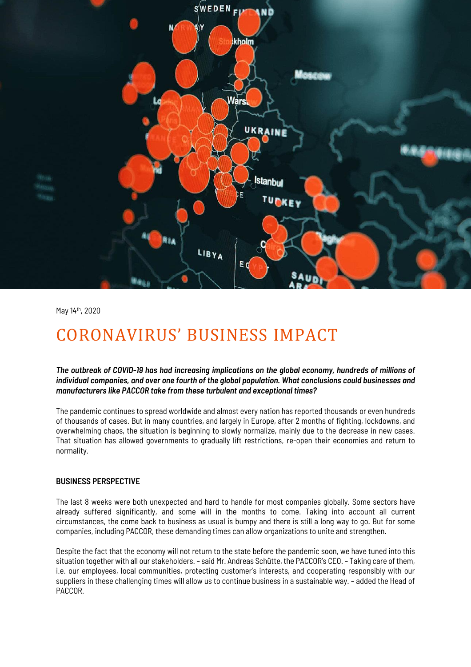

May 14th, 2020

## CORONAVIRUS' BUSINESS IMPACT

*The outbreak of COVID-19 has had increasing implications on the global economy, hundreds of millions of individual companies, and over one fourth of the global population. What conclusions could businesses and manufacturers like PACCOR take from these turbulent and exceptional times?*

The pandemic continues to spread worldwide and almost every nation has reported thousands or even hundreds of thousands of cases. But in many countries, and largely in Europe, after 2 months of fighting, lockdowns, and overwhelming chaos, the situation is beginning to slowly normalize, mainly due to the decrease in new cases. That situation has allowed governments to gradually lift restrictions, re-open their economies and return to normality.

## **BUSINESS PERSPECTIVE**

The last 8 weeks were both unexpected and hard to handle for most companies globally. Some sectors have already suffered significantly, and some will in the months to come. Taking into account all current circumstances, the come back to business as usual is bumpy and there is still a long way to go. But for some companies, including PACCOR, these demanding times can allow organizations to unite and strengthen.

Despite the fact that the economy will not return to the state before the pandemic soon, we have tuned into this situation together with all our stakeholders. – said Mr. Andreas Schütte, the PACCOR's CEO. – Taking care of them, i.e. our employees, local communities, protecting customer's interests, and cooperating responsibly with our suppliers in these challenging times will allow us to continue business in a sustainable way. – added the Head of PACCOR.